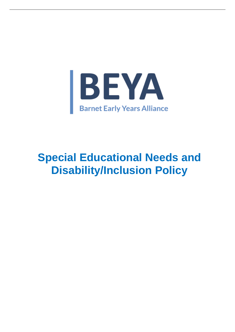

# **Special Educational Needs and Disability/Inclusion Policy**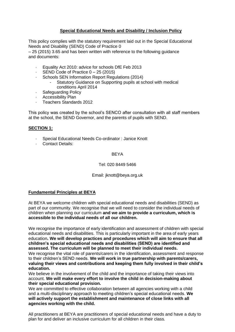## **Special Educational Needs and Disability / Inclusion Policy**

This policy complies with the statutory requirement laid out in the Special Educational Needs and Disability (SEND) Code of Practice 0

– 25 (2015) 3.65 and has been written with reference to the following guidance and documents:

- Equality Act 2010: advice for schools DfE Feb 2013
- SEND Code of Practice  $0 25$  (2015)
- Schools SEN Information Report Regulations (2014)
	- Statutory Guidance on Supporting pupils at school with medical conditions April 2014
- · Safeguarding Policy
- Accessibility Plan
- · Teachers Standards 2012

This policy was created by the school's SENCO after consultation with all staff members at the school, the SEND Governor, and the parents of pupils with SEND.

## **SECTION 1:**

- Special Educational Needs Co-ordinator : Janice Knott
- · Contact Details:

#### **BEYA**

#### Tel: 020 8449 5466

#### Email: jknott@beya.org.uk

#### **Fundamental Principles at BEYA**

At BEYA we welcome children with special educational needs and disabilities (SEND) as part of our community. We recognise that we will need to consider the individual needs of children when planning our curriculum **and we aim to provide a curriculum, which is accessible to the individual needs of all our children.**

We recognise the importance of early identification and assessment of children with special educational needs and disabilities. This is particularly important in the area of early years education**. We will develop practices and procedures which will aim to ensure that all children's special educational needs and disabilities (SEND) are identified and assessed. The curriculum will be planned to meet their individual needs.**

We recognise the vital role of parents/carers in the identification, assessment and response to their children's SEND needs. **We will work in true partnership with parents/carers, valuing their views and contributions and keeping them fully involved in their child's education.**

We believe in the involvement of the child and the importance of taking their views into account. **We will make every effort to involve the child in decision-making about their special educational provision.**

We are committed to effective collaboration between all agencies working with a child and a multi-disciplinary approach to meeting children's special educational needs. **We will actively support the establishment and maintenance of close links with all agencies working with the child.**

All practitioners at BEYA are practitioners of special educational needs and have a duty to plan for and deliver an inclusive curriculum for all children in their class.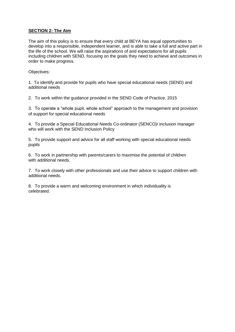## **SECTION 2: The Aim**

The aim of this policy is to ensure that every child at BEYA has equal opportunities to develop into a responsible, independent learner, and is able to take a full and active part in the life of the school. We will raise the aspirations of and expectations for all pupils including children with SEND, focusing on the goals they need to achieve and outcomes in order to make progress.

Objectives:

1. To identify and provide for pupils who have special educational needs (SEND) and additional needs

2. To work within the guidance provided in the SEND Code of Practice, 2015

3. To operate a "whole pupil, whole school" approach to the management and provision of support for special educational needs

4. To provide a Special Educational Needs Co-ordinator (SENCO)/ inclusion manager who will work with the SEND Inclusion Policy

5. To provide support and advice for all staff working with special educational needs pupils

6. To work in partnership with parents/carers to maximise the potential of children with additional needs.

7. To work closely with other professionals and use their advice to support children with additional needs.

8. To provide a warm and welcoming environment in which individuality is celebrated.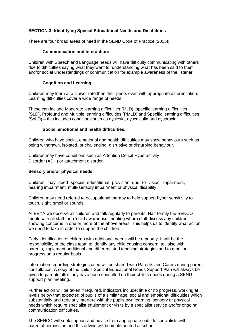## **SECTION 3: Identifying Special Educational Needs and Disabilities**

There are four broad areas of need in the SEND Code of Practice (2015):

#### · **Communication and Interaction:**

Children with Speech and Language needs will have difficulty communicating with others due to difficulties saying what they want to, understanding what has been said to them and/or social understandings of communication for example awareness of the listener.

#### · **Cognition and Learning:**

Children may learn at a slower rate than their peers even with appropriate differentiation. Learning difficulties cover a wide range of needs.

These can include Moderate learning difficulties (MLD), specific learning difficulties (SLD), Profound and Multiple learning difficulties (PMLD) and Specific learning difficulties (SpLD) – this includes conditions such as dyslexia, dyscalculia and dyspraxia.

#### · **Social, emotional and health difficulties:**

Children who have social, emotional and health difficulties may show behaviours such as being withdrawn, isolated, or challenging, disruptive or disturbing behaviour.

Children may have conditions such as Attention Deficit Hyperactivity Disorder (ADH) or attachment disorder.

#### **Sensory and/or physical needs:**

Children may need special educational provision due to vision impairment, hearing impairment, multi-sensory impairment or physical disability.

Children may need referral to occupational therapy to help support hyper sensitivity to touch, sight, smell or sounds.

At BEYA we observe all children and talk regularly to parents. Half-termly the SENCO meets with all staff for a 'child awareness' meeting where staff discuss any children showing concerns in one or more of the above areas. This helps us to identify what action we need to take in order to support the children.

Early identification of children with additional needs will be a priority. It will be the responsibility of the class team to identify any child causing concern, to liaise with parents, implement additional and differentiated teaching strategies and to monitor progress on a regular basis.

Information regarding strategies used will be shared with Parents and Carers during parent consultation. A copy of the child's Special Educational Needs Support Plan will always be given to parents after they have been consulted on their child's needs during a SEND support plan meeting.

Further action will be taken if required, indicators include; little or no progress, working at levels below that expected of pupils of a similar age, social and emotional difficulties which substantially and regularly interfere with the pupils own learning, sensory or physical needs which require specialist equipment or visits by a specialist service and/or ongoing communication difficulties.

The SENCO will seek support and advice from appropriate outside specialists with parental permission and this advice will be implemented at school.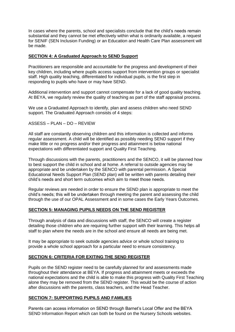In cases where the parents, school and specialists conclude that the child's needs remain substantial and they cannot be met effectively within what is ordinarily available, a request for SENIF (SEN Inclusion Funding) or an Education and Health Care Plan assessment will be made.

## **SECTION 4: A Graduated Approach to SEND Support**

Practitioners are responsible and accountable for the progress and development of their key children, including where pupils access support from intervention groups or specialist staff. High quality teaching, differentiated for individual pupils, is the first step in responding to pupils who have or may have SEND.

Additional intervention and support cannot compensate for a lack of good quality teaching. At BEYA, we regularly review the quality of teaching as part of the staff appraisal process.

We use a Graduated Approach to identify, plan and assess children who need SEND support. The Graduated Approach consists of 4 steps:

ASSESS – PLAN – DO – REVIEW

All staff are constantly observing children and this information is collected and informs regular assessment. A child will be identified as possibly needing SEND support if they make little or no progress and/or their progress and attainment is below national expectations with differentiated support and Quality First Teaching.

Through discussions with the parents, practitioners and the SENCO, it will be planned how to best support the child in school and at home. A referral to outside agencies may be appropriate and be undertaken by the SENCO with parental permission. A Special Educational Needs Support Plan (SEND plan) will be written with parents detailing their child's needs and short term outcomes which aim to meet those needs.

Regular reviews are needed in order to ensure the SEND plan is appropriate to meet the child's needs; this will be undertaken through meeting the parent and assessing the child through the use of our OPAL Assessment and in some cases the Early Years Outcomes.

#### **SECTION 5: MANAGING PUPILS NEEDS ON THE SEND REGISTER**

Through analysis of data and discussions with staff, the SENCO will create a register detailing those children who are requiring further support with their learning. This helps all staff to plan where the needs are in the school and ensure all needs are being met.

It may be appropriate to seek outside agencies advice or whole school training to provide a whole school approach for a particular need to ensure consistency.

# **SECTION 6: CRITERIA FOR EXITING THE SEND REGISTER**

Pupils on the SEND register need to be carefully planned for and assessments made throughout their attendance at BEYA. If progress and attainment meets or exceeds the national expectations and the child is able to make this progress with Quality First Teaching alone they may be removed from the SEND register. This would be the course of action after discussions with the parents, class teachers, and the Head Teacher.

#### **SECTION 7: SUPPORTING PUPILS AND FAMILIES**

Parents can access information on SEND through Barnet's Local Offer and the BEYA SEND Information Report which can both be found on the Nursery Schools websites.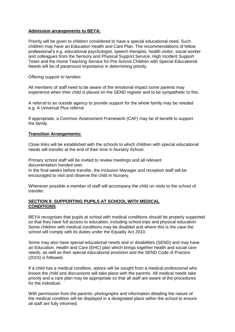## **Admission arrangements to BEYA:**

Priority will be given to children considered to have a special educational need. Such children may have an Education Health and Care Plan. The recommendations of fellow professional's e.g. educational psychologist, speech therapist, health visitor, social worker and colleagues from the Sensory and Physical Support Service, High Incident Support Team and the Home Teaching Service for Pre-School Children with Special Educational Needs will be of paramount importance in determining priority.

Offering support to families:

All members of staff need to be aware of the emotional impact some parents may experience when their child is placed on the SEND register and to be sympathetic to this.

A referral to an outside agency to provide support for the whole family may be needed e.g. A Universal Plus referral

If appropriate, a Common Assessment Framework (CAF) may be of benefit to support the family.

#### **Transition Arrangements:**

Close links will be established with the schools to which children with special educational needs will transfer at the end of their time in Nursery School.

Primary school staff will be invited to review meetings and all relevant documentation handed over.

In the final weeks before transfer, the Inclusion Manager and reception staff will be encouraged to visit and observe the child in Nursery.

Whenever possible a member of staff will accompany the child on visits to the school of transfer.

#### **SECTION 8: SUPPORTING PUPILS AT SCHOOL WITH MEDICAL CONDITIONS**

BEYA recognises that pupils at school with medical conditions should be properly supported so that they have full access to education, including school trips and physical education. Some children with medical conditions may be disabled and where this is the case the school will comply with its duties under the Equality Act 2010.

Some may also have special educational needs and or disabilities (SEND) and may have an Education, Health and Care (EHC) plan which brings together health and social care needs, as well as their special educational provision and the SEND Code of Practice (2015) is followed.

If a child has a medical condition, advice will be sought from a medical professional who knows the child and discussions will take place with the parents. All medical needs take priority and a care plan may be appropriate so that all staff are aware of the procedures for the individual.

With permission from the parents; photographs and information detailing the nature of the medical condition will be displayed in a designated place within the school to ensure all staff are fully informed.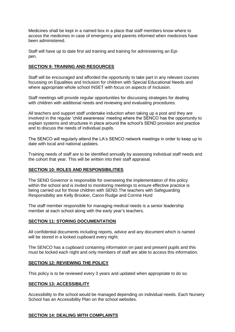Medicines shall be kept in a named box in a place that staff members know where to access the medicines in case of emergency and parents informed when medicines have been administered.

Staff will have up to date first aid training and training for administering an Epipen.

#### **SECTION 9: TRAINING AND RESOURCES**

Staff will be encouraged and afforded the opportunity to take part in any relevant courses focussing on Equalities and Inclusion for children with Special Educational Needs and where appropriate whole school INSET with focus on aspects of Inclusion.

Staff meetings will provide regular opportunities for discussing strategies for dealing with children with additional needs and reviewing and evaluating procedures.

All teachers and support staff undertake induction when taking up a post and they are involved in the regular 'child awareness' meeting where the SENCO has the opportunity to explain systems and structures in place around the school's SEND provision and practice and to discuss the needs of individual pupils.

The SENCO will regularly attend the LA's SENCO network meetings in order to keep up to date with local and national updates.

Training needs of staff are to be identified annually by assessing individual staff needs and the cohort that year. This will be written into their staff appraisal.

#### **SECTION 10: ROLES AND RESPONSIBILITIES**

The SEND Governor is responsible for overseeing the implementation of this policy within the school and is invited to monitoring meetings to ensure effective practice is being carried out for those children with SEND.The teachers with Safeguarding Responsibility are Kelly Brooker, Caron Rudge and Corrine Hurd

The staff member responsible for managing medical needs is a senior leadership member at each school along with the early year's teachers.

#### **SECTION 11: STORING DOCUMENTATION**

All confidential documents including reports, advice and any document which is named will be stored in a locked cupboard every night.

The SENCO has a cupboard containing information on past and present pupils and this must be locked each night and only members of staff are able to access this information.

#### **SECTION 12: REVIEWING THE POLICY**

This policy is to be reviewed every 3 years and updated when appropriate to do so.

#### **SECTION 13: ACCESSIBILITY**

Accessibility to the school would be managed depending on individual needs. Each Nursery School has an Accessibility Plan on the school websites.

#### **SECTION 14: DEALING WITH COMPLAINTS**